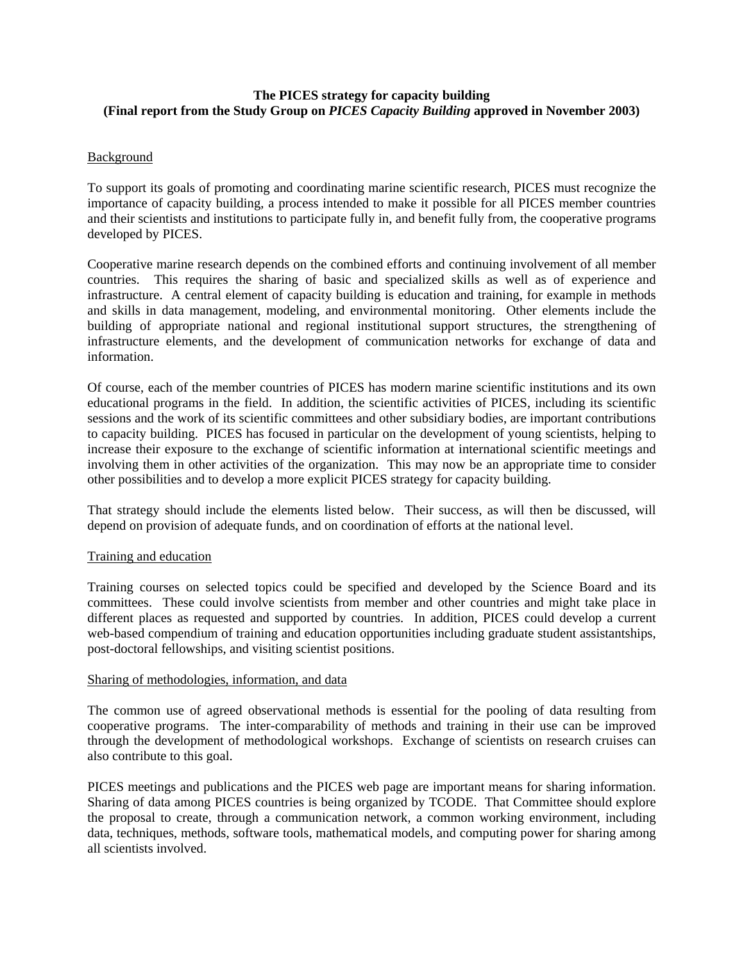# **The PICES strategy for capacity building (Final report from the Study Group on** *PICES Capacity Building* **approved in November 2003)**

## Background

To support its goals of promoting and coordinating marine scientific research, PICES must recognize the importance of capacity building, a process intended to make it possible for all PICES member countries and their scientists and institutions to participate fully in, and benefit fully from, the cooperative programs developed by PICES.

Cooperative marine research depends on the combined efforts and continuing involvement of all member countries. This requires the sharing of basic and specialized skills as well as of experience and infrastructure. A central element of capacity building is education and training, for example in methods and skills in data management, modeling, and environmental monitoring. Other elements include the building of appropriate national and regional institutional support structures, the strengthening of infrastructure elements, and the development of communication networks for exchange of data and information.

Of course, each of the member countries of PICES has modern marine scientific institutions and its own educational programs in the field. In addition, the scientific activities of PICES, including its scientific sessions and the work of its scientific committees and other subsidiary bodies, are important contributions to capacity building. PICES has focused in particular on the development of young scientists, helping to increase their exposure to the exchange of scientific information at international scientific meetings and involving them in other activities of the organization. This may now be an appropriate time to consider other possibilities and to develop a more explicit PICES strategy for capacity building.

That strategy should include the elements listed below. Their success, as will then be discussed, will depend on provision of adequate funds, and on coordination of efforts at the national level.

### Training and education

Training courses on selected topics could be specified and developed by the Science Board and its committees. These could involve scientists from member and other countries and might take place in different places as requested and supported by countries. In addition, PICES could develop a current web-based compendium of training and education opportunities including graduate student assistantships, post-doctoral fellowships, and visiting scientist positions.

### Sharing of methodologies, information, and data

The common use of agreed observational methods is essential for the pooling of data resulting from cooperative programs. The inter-comparability of methods and training in their use can be improved through the development of methodological workshops. Exchange of scientists on research cruises can also contribute to this goal.

PICES meetings and publications and the PICES web page are important means for sharing information. Sharing of data among PICES countries is being organized by TCODE. That Committee should explore the proposal to create, through a communication network, a common working environment, including data, techniques, methods, software tools, mathematical models, and computing power for sharing among all scientists involved.